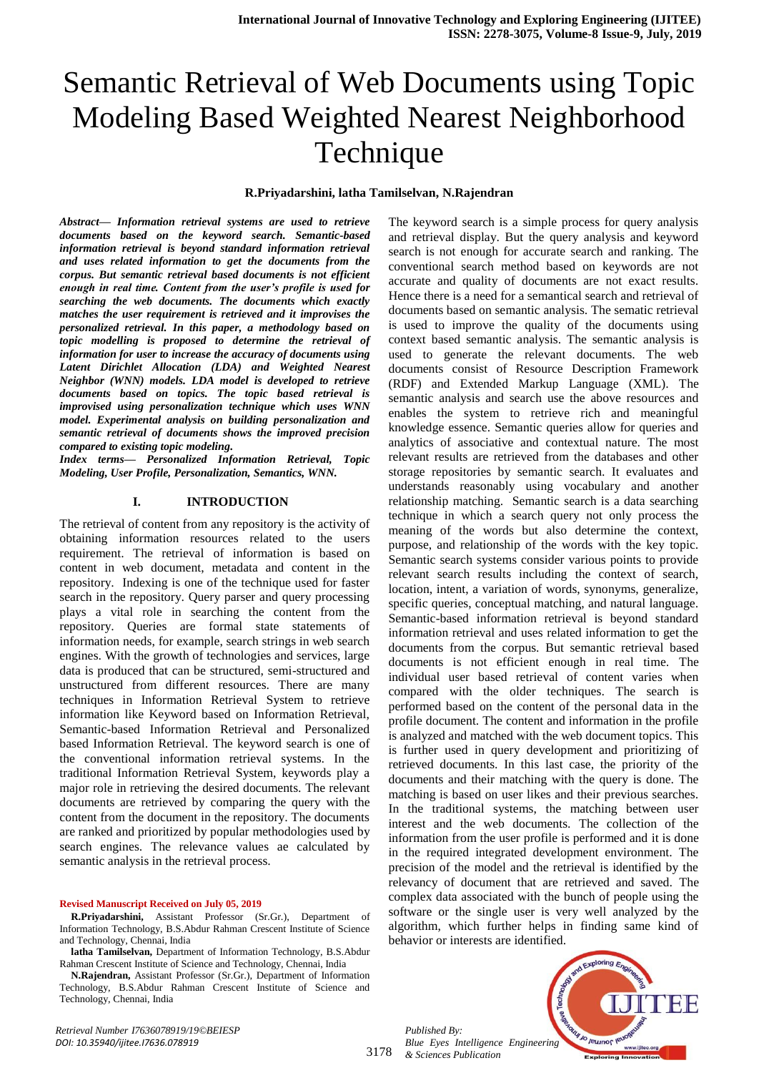#### **R.Priyadarshini, latha Tamilselvan, N.Rajendran**

*Abstract— Information retrieval systems are used to retrieve documents based on the keyword search. Semantic-based information retrieval is beyond standard information retrieval and uses related information to get the documents from the corpus. But semantic retrieval based documents is not efficient enough in real time. Content from the user's profile is used for searching the web documents. The documents which exactly matches the user requirement is retrieved and it improvises the personalized retrieval. In this paper, a methodology based on topic modelling is proposed to determine the retrieval of information for user to increase the accuracy of documents using Latent Dirichlet Allocation (LDA) and Weighted Nearest Neighbor (WNN) models. LDA model is developed to retrieve documents based on topics. The topic based retrieval is improvised using personalization technique which uses WNN model. Experimental analysis on building personalization and semantic retrieval of documents shows the improved precision compared to existing topic modeling.* 

*Index terms— Personalized Information Retrieval, Topic Modeling, User Profile, Personalization, Semantics, WNN.*

#### **I. INTRODUCTION**

The retrieval of content from any repository is the activity of obtaining information resources related to the users requirement. The retrieval of information is based on content in web document, metadata and content in the repository. Indexing is one of the technique used for faster search in the repository. Query parser and query processing plays a vital role in searching the content from the repository. Queries are formal state statements of information needs, for example, search strings in web search engines. With the growth of technologies and services, large data is produced that can be structured, semi-structured and unstructured from different resources. There are many techniques in Information Retrieval System to retrieve information like Keyword based on Information Retrieval, Semantic-based Information Retrieval and Personalized based Information Retrieval. The keyword search is one of the conventional information retrieval systems. In the traditional Information Retrieval System, keywords play a major role in retrieving the desired documents. The relevant documents are retrieved by comparing the query with the content from the document in the repository. The documents are ranked and prioritized by popular methodologies used by search engines. The relevance values ae calculated by semantic analysis in the retrieval process.

#### **Revised Manuscript Received on July 05, 2019**

**R.Priyadarshini,** Assistant Professor (Sr.Gr.), Department of Information Technology, B.S.Abdur Rahman Crescent Institute of Science and Technology, Chennai, India

**latha Tamilselvan,** Department of Information Technology, B.S.Abdur Rahman Crescent Institute of Science and Technology, Chennai, India

**N.Rajendran,** Assistant Professor (Sr.Gr.), Department of Information Technology, B.S.Abdur Rahman Crescent Institute of Science and Technology, Chennai, India

The keyword search is a simple process for query analysis and retrieval display. But the query analysis and keyword search is not enough for accurate search and ranking. The conventional search method based on keywords are not accurate and quality of documents are not exact results. Hence there is a need for a semantical search and retrieval of documents based on semantic analysis. The sematic retrieval is used to improve the quality of the documents using context based semantic analysis. The semantic analysis is used to generate the relevant documents. The web documents consist of Resource Description Framework (RDF) and Extended Markup Language (XML). The semantic analysis and search use the above resources and enables the system to retrieve rich and meaningful knowledge essence. Semantic queries allow for queries and analytics of associative and contextual nature. The most relevant results are retrieved from the databases and other storage repositories by semantic search. It evaluates and understands reasonably using vocabulary and another relationship matching. Semantic search is a data searching technique in which a search query not only process the meaning of the words but also determine the context, purpose, and relationship of the words with the key topic. Semantic search systems consider various points to provide relevant search results including the context of search, location, intent, a variation of words, synonyms, generalize, specific queries, conceptual matching, and natural language. Semantic-based information retrieval is beyond standard information retrieval and uses related information to get the documents from the corpus. But semantic retrieval based documents is not efficient enough in real time. The individual user based retrieval of content varies when compared with the older techniques. The search is performed based on the content of the personal data in the profile document. The content and information in the profile is analyzed and matched with the web document topics. This is further used in query development and prioritizing of retrieved documents. In this last case, the priority of the documents and their matching with the query is done. The matching is based on user likes and their previous searches. In the traditional systems, the matching between user interest and the web documents. The collection of the information from the user profile is performed and it is done in the required integrated development environment. The precision of the model and the retrieval is identified by the relevancy of document that are retrieved and saved. The complex data associated with the bunch of people using the software or the single user is very well analyzed by the algorithm, which further helps in finding same kind of behavior or interests are identified.

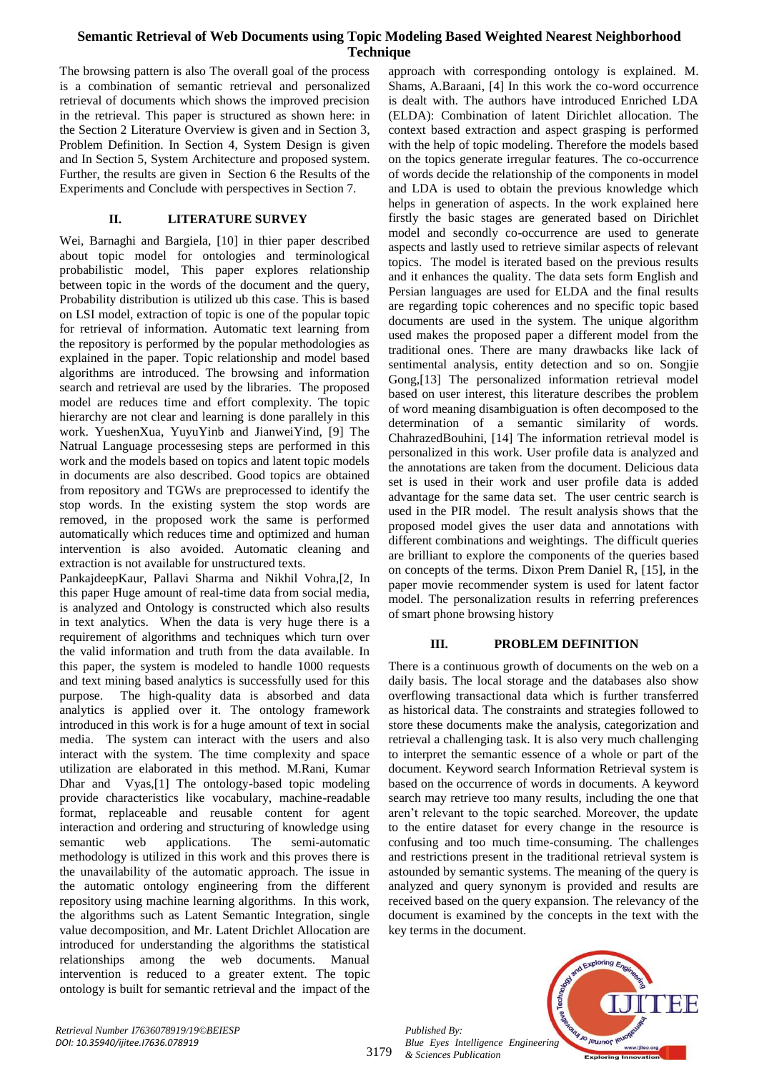The browsing pattern is also The overall goal of the process is a combination of semantic retrieval and personalized retrieval of documents which shows the improved precision in the retrieval. This paper is structured as shown here: in the Section 2 Literature Overview is given and in Section 3, Problem Definition. In Section 4, System Design is given and In Section 5, System Architecture and proposed system. Further, the results are given in Section 6 the Results of the Experiments and Conclude with perspectives in Section 7.

## **II. LITERATURE SURVEY**

Wei, Barnaghi and Bargiela, [10] in thier paper described about topic model for ontologies and terminological probabilistic model, This paper explores relationship between topic in the words of the document and the query, Probability distribution is utilized ub this case. This is based on LSI model, extraction of topic is one of the popular topic for retrieval of information. Automatic text learning from the repository is performed by the popular methodologies as explained in the paper. Topic relationship and model based algorithms are introduced. The browsing and information search and retrieval are used by the libraries. The proposed model are reduces time and effort complexity. The topic hierarchy are not clear and learning is done parallely in this work. YueshenXua, YuyuYinb and JianweiYind, [9] The Natrual Language processesing steps are performed in this work and the models based on topics and latent topic models in documents are also described. Good topics are obtained from repository and TGWs are preprocessed to identify the stop words. In the existing system the stop words are removed, in the proposed work the same is performed automatically which reduces time and optimized and human intervention is also avoided. Automatic cleaning and extraction is not available for unstructured texts.

PankajdeepKaur, Pallavi Sharma and Nikhil Vohra,[2, In this paper Huge amount of real-time data from social media, is analyzed and Ontology is constructed which also results in text analytics. When the data is very huge there is a requirement of algorithms and techniques which turn over the valid information and truth from the data available. In this paper, the system is modeled to handle 1000 requests and text mining based analytics is successfully used for this purpose. The high-quality data is absorbed and data analytics is applied over it. The ontology framework introduced in this work is for a huge amount of text in social media. The system can interact with the users and also interact with the system. The time complexity and space utilization are elaborated in this method. M.Rani, Kumar Dhar and Vyas,[1] The ontology-based topic modeling provide characteristics like vocabulary, machine-readable format, replaceable and reusable content for agent interaction and ordering and structuring of knowledge using semantic web applications. The semi-automatic methodology is utilized in this work and this proves there is the unavailability of the automatic approach. The issue in the automatic ontology engineering from the different repository using machine learning algorithms. In this work, the algorithms such as Latent Semantic Integration, single value decomposition, and Mr. Latent Drichlet Allocation are introduced for understanding the algorithms the statistical relationships among the web documents. Manual intervention is reduced to a greater extent. The topic ontology is built for semantic retrieval and the impact of the

approach with corresponding ontology is explained. M. Shams, A.Baraani, [4] In this work the co-word occurrence is dealt with. The authors have introduced Enriched LDA (ELDA): Combination of latent Dirichlet allocation. The context based extraction and aspect grasping is performed with the help of topic modeling. Therefore the models based on the topics generate irregular features. The co-occurrence of words decide the relationship of the components in model and LDA is used to obtain the previous knowledge which helps in generation of aspects. In the work explained here firstly the basic stages are generated based on Dirichlet model and secondly co-occurrence are used to generate aspects and lastly used to retrieve similar aspects of relevant topics. The model is iterated based on the previous results and it enhances the quality. The data sets form English and Persian languages are used for ELDA and the final results are regarding topic coherences and no specific topic based documents are used in the system. The unique algorithm used makes the proposed paper a different model from the traditional ones. There are many drawbacks like lack of sentimental analysis, entity detection and so on. Songjie Gong,[13] The personalized information retrieval model based on user interest, this literature describes the problem of word meaning disambiguation is often decomposed to the determination of a semantic similarity of words. ChahrazedBouhini, [14] The information retrieval model is personalized in this work. User profile data is analyzed and the annotations are taken from the document. Delicious data set is used in their work and user profile data is added advantage for the same data set. The user centric search is used in the PIR model. The result analysis shows that the proposed model gives the user data and annotations with different combinations and weightings. The difficult queries are brilliant to explore the components of the queries based on concepts of the terms. Dixon Prem Daniel R, [15], in the paper movie recommender system is used for latent factor model. The personalization results in referring preferences of smart phone browsing history

# **III. PROBLEM DEFINITION**

There is a continuous growth of documents on the web on a daily basis. The local storage and the databases also show overflowing transactional data which is further transferred as historical data. The constraints and strategies followed to store these documents make the analysis, categorization and retrieval a challenging task. It is also very much challenging to interpret the semantic essence of a whole or part of the document. Keyword search Information Retrieval system is based on the occurrence of words in documents. A keyword search may retrieve too many results, including the one that aren't relevant to the topic searched. Moreover, the update to the entire dataset for every change in the resource is confusing and too much time-consuming. The challenges and restrictions present in the traditional retrieval system is astounded by semantic systems. The meaning of the query is analyzed and query synonym is provided and results are received based on the query expansion. The relevancy of the document is examined by the concepts in the text with the key terms in the document.

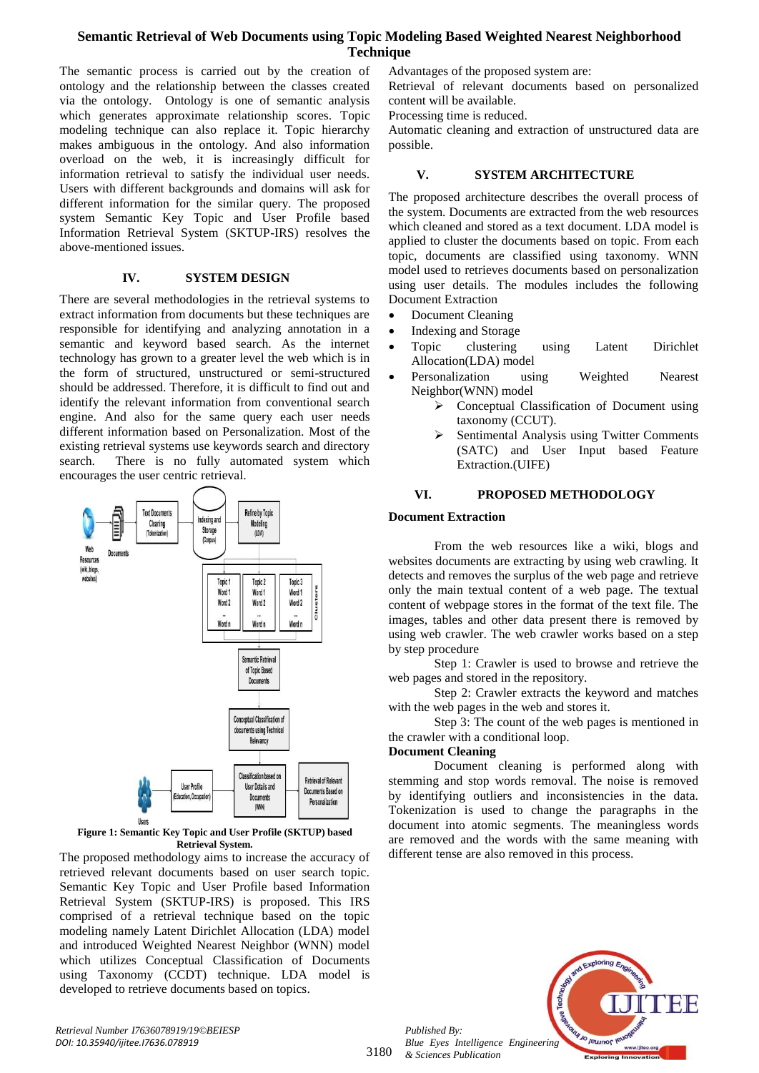The semantic process is carried out by the creation of ontology and the relationship between the classes created via the ontology. Ontology is one of semantic analysis which generates approximate relationship scores. Topic modeling technique can also replace it. Topic hierarchy makes ambiguous in the ontology. And also information overload on the web, it is increasingly difficult for information retrieval to satisfy the individual user needs. Users with different backgrounds and domains will ask for different information for the similar query. The proposed system Semantic Key Topic and User Profile based Information Retrieval System (SKTUP-IRS) resolves the above-mentioned issues.

## **IV. SYSTEM DESIGN**

There are several methodologies in the retrieval systems to extract information from documents but these techniques are responsible for identifying and analyzing annotation in a semantic and keyword based search. As the internet technology has grown to a greater level the web which is in the form of structured, unstructured or semi-structured should be addressed. Therefore, it is difficult to find out and identify the relevant information from conventional search engine. And also for the same query each user needs different information based on Personalization. Most of the existing retrieval systems use keywords search and directory search. There is no fully automated system which encourages the user centric retrieval.



**Figure 1: Semantic Key Topic and User Profile (SKTUP) based Retrieval System.**

The proposed methodology aims to increase the accuracy of retrieved relevant documents based on user search topic. Semantic Key Topic and User Profile based Information Retrieval System (SKTUP-IRS) is proposed. This IRS comprised of a retrieval technique based on the topic modeling namely Latent Dirichlet Allocation (LDA) model and introduced Weighted Nearest Neighbor (WNN) model which utilizes Conceptual Classification of Documents using Taxonomy (CCDT) technique. LDA model is developed to retrieve documents based on topics.

Advantages of the proposed system are:

Retrieval of relevant documents based on personalized content will be available.

Processing time is reduced.

Automatic cleaning and extraction of unstructured data are possible.

## **V. SYSTEM ARCHITECTURE**

The proposed architecture describes the overall process of the system. Documents are extracted from the web resources which cleaned and stored as a text document. LDA model is applied to cluster the documents based on topic. From each topic, documents are classified using taxonomy. WNN model used to retrieves documents based on personalization using user details. The modules includes the following Document Extraction

- Document Cleaning
- Indexing and Storage
- Topic clustering using Latent Dirichlet Allocation(LDA) model
- Personalization using Weighted Nearest Neighbor(WNN) model
	- Conceptual Classification of Document using taxonomy (CCUT).
	- Sentimental Analysis using Twitter Comments (SATC) and User Input based Feature Extraction.(UIFE)

#### **VI. PROPOSED METHODOLOGY**

#### **Document Extraction**

From the web resources like a wiki, blogs and websites documents are extracting by using web crawling. It detects and removes the surplus of the web page and retrieve only the main textual content of a web page. The textual content of webpage stores in the format of the text file. The images, tables and other data present there is removed by using web crawler. The web crawler works based on a step by step procedure

Step 1: Crawler is used to browse and retrieve the web pages and stored in the repository.

Step 2: Crawler extracts the keyword and matches with the web pages in the web and stores it.

Step 3: The count of the web pages is mentioned in the crawler with a conditional loop.

#### **Document Cleaning**

Document cleaning is performed along with stemming and stop words removal. The noise is removed by identifying outliers and inconsistencies in the data. Tokenization is used to change the paragraphs in the document into atomic segments. The meaningless words are removed and the words with the same meaning with different tense are also removed in this process.



*Retrieval Number I7636078919/19©BEIESP DOI: 10.35940/ijitee.I7636.078919*

*Published By:*

*& Sciences Publication*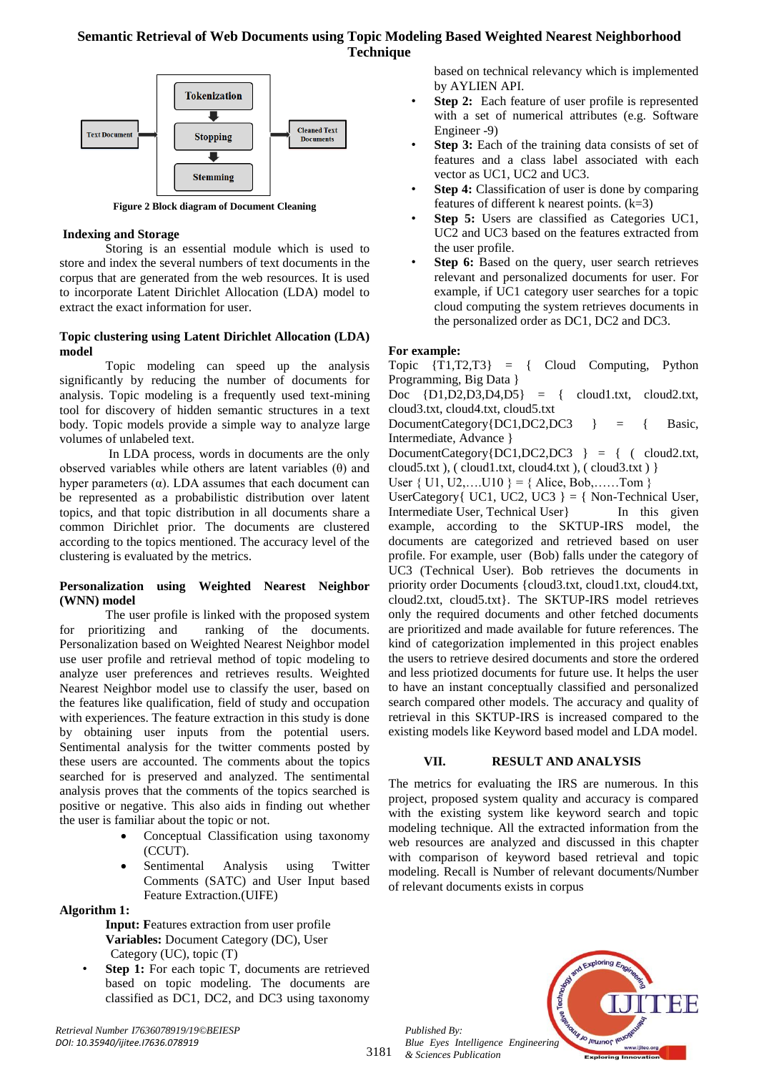

**Figure 2 Block diagram of Document Cleaning**

## **Indexing and Storage**

Storing is an essential module which is used to store and index the several numbers of text documents in the corpus that are generated from the web resources. It is used to incorporate Latent Dirichlet Allocation (LDA) model to extract the exact information for user.

## **Topic clustering using Latent Dirichlet Allocation (LDA) model**

Topic modeling can speed up the analysis significantly by reducing the number of documents for analysis. Topic modeling is a frequently used text-mining tool for discovery of hidden semantic structures in a text body. Topic models provide a simple way to analyze large volumes of unlabeled text.

In LDA process, words in documents are the only observed variables while others are latent variables (θ) and hyper parameters (α). LDA assumes that each document can be represented as a probabilistic distribution over latent topics, and that topic distribution in all documents share a common Dirichlet prior. The documents are clustered according to the topics mentioned. The accuracy level of the clustering is evaluated by the metrics.

## **Personalization using Weighted Nearest Neighbor (WNN) model**

The user profile is linked with the proposed system for prioritizing and ranking of the documents. Personalization based on Weighted Nearest Neighbor model use user profile and retrieval method of topic modeling to analyze user preferences and retrieves results. Weighted Nearest Neighbor model use to classify the user, based on the features like qualification, field of study and occupation with experiences. The feature extraction in this study is done by obtaining user inputs from the potential users. Sentimental analysis for the twitter comments posted by these users are accounted. The comments about the topics searched for is preserved and analyzed. The sentimental analysis proves that the comments of the topics searched is positive or negative. This also aids in finding out whether the user is familiar about the topic or not.

- Conceptual Classification using taxonomy (CCUT).
- Sentimental Analysis using Twitter Comments (SATC) and User Input based Feature Extraction.(UIFE)

# **Algorithm 1:**

- **Input: F**eatures extraction from user profile **Variables:** Document Category (DC), User Category (UC), topic (T)
- **Step 1:** For each topic T, documents are retrieved based on topic modeling. The documents are classified as DC1, DC2, and DC3 using taxonomy

based on technical relevancy which is implemented by AYLIEN API.

- **Step 2:** Each feature of user profile is represented with a set of numerical attributes (e.g. Software Engineer -9)
- Step 3: Each of the training data consists of set of features and a class label associated with each vector as UC1, UC2 and UC3.
- **Step 4:** Classification of user is done by comparing features of different k nearest points.  $(k=3)$
- **Step 5:** Users are classified as Categories UC1, UC2 and UC3 based on the features extracted from the user profile.
- **Step 6:** Based on the query, user search retrieves relevant and personalized documents for user. For example, if UC1 category user searches for a topic cloud computing the system retrieves documents in the personalized order as DC1, DC2 and DC3.

## **For example:**

Topic {T1,T2,T3} = { Cloud Computing, Python Programming, Big Data }

Doc  $\{D1,D2,D3,D4,D5\}$  = { cloud1.txt, cloud2.txt, cloud3.txt, cloud4.txt, cloud5.txt

DocumentCategory{DC1,DC2,DC3 } = { Basic, Intermediate, Advance }

DocumentCategory ${DC1,DC2,DC3}$  } = { ( cloud2.txt, cloud5.txt),  $\{$  cloud1.txt, cloud4.txt),  $\{$  cloud3.txt)  $\}$ 

User  $\{ U1, U2, \ldots, U10 \} = \{ \text{Alice, Bob, \ldots, Tom } \}$ 

UserCategory{ UC1, UC2, UC3 } = { Non-Technical User, Intermediate User, Technical User and Intermediate User, Technical User and Intervalse use of the series of the series of the series of the series of the series of the series of the series of the series of the series of th example, according to the SKTUP-IRS model, the documents are categorized and retrieved based on user profile. For example, user (Bob) falls under the category of UC3 (Technical User). Bob retrieves the documents in priority order Documents {cloud3.txt, cloud1.txt, cloud4.txt, cloud2.txt, cloud5.txt}. The SKTUP-IRS model retrieves only the required documents and other fetched documents are prioritized and made available for future references. The kind of categorization implemented in this project enables the users to retrieve desired documents and store the ordered and less priotized documents for future use. It helps the user to have an instant conceptually classified and personalized search compared other models. The accuracy and quality of retrieval in this SKTUP-IRS is increased compared to the existing models like Keyword based model and LDA model.

# **VII. RESULT AND ANALYSIS**

The metrics for evaluating the IRS are numerous. In this project, proposed system quality and accuracy is compared with the existing system like keyword search and topic modeling technique. All the extracted information from the web resources are analyzed and discussed in this chapter with comparison of keyword based retrieval and topic modeling. Recall is Number of relevant documents/Number of relevant documents exists in corpus

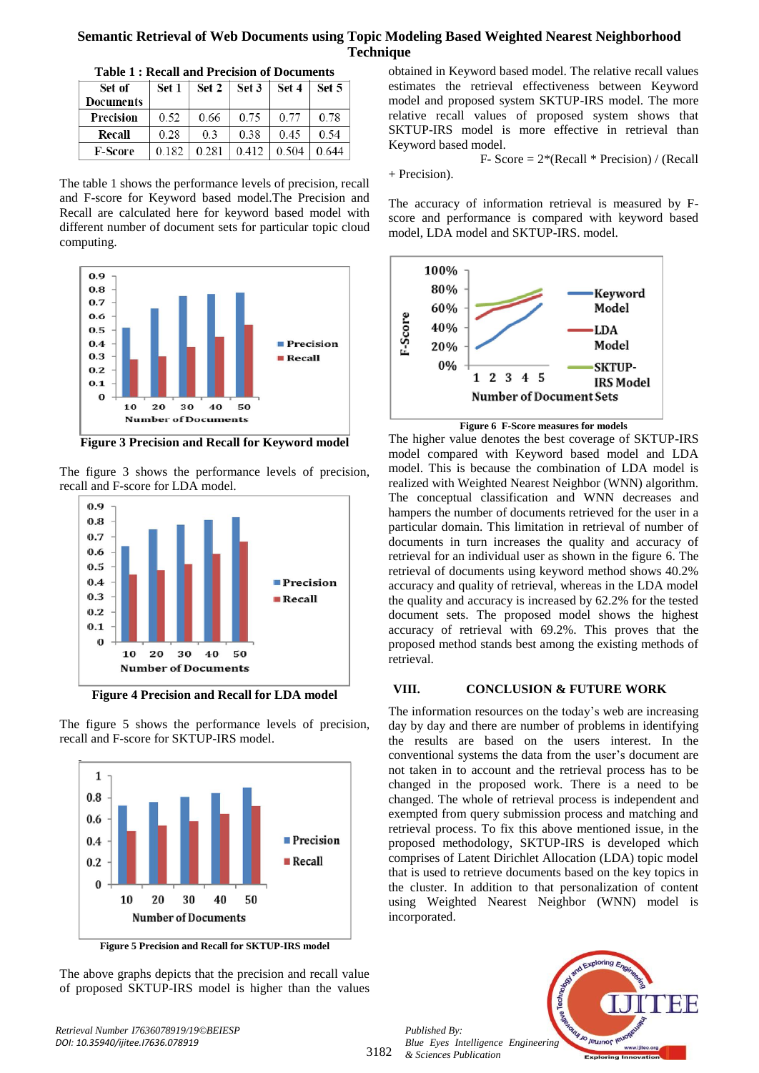| Table 1 . Recall and 1 Feelsion of Documents |       |       |       |       |       |
|----------------------------------------------|-------|-------|-------|-------|-------|
| Set of                                       | Set 1 | Set 2 | Set 3 | Set 4 | Set 5 |
| <b>Documents</b>                             |       |       |       |       |       |
| Precision                                    | 0.52  | 0.66  | 0.75  | 0.77  | 0.78  |
| Recall                                       | 0.28  | 03    | 0.38  | 0.45  | 0.54  |
| <b>F-Score</b>                               | 0.182 | 0.281 | 0.412 | 0.504 | 0.644 |

**Table 1 : Recall and Precision of Documents**

The table 1 shows the performance levels of precision, recall and F-score for Keyword based model.The Precision and Recall are calculated here for keyword based model with different number of document sets for particular topic cloud computing.



**Figure 3 Precision and Recall for Keyword model**

The figure 3 shows the performance levels of precision, recall and F-score for LDA model.



**Figure 4 Precision and Recall for LDA model**

The figure 5 shows the performance levels of precision, recall and F-score for SKTUP-IRS model.



**Figure 5 Precision and Recall for SKTUP-IRS model**

The above graphs depicts that the precision and recall value of proposed SKTUP-IRS model is higher than the values

*Retrieval Number I7636078919/19©BEIESP DOI: 10.35940/ijitee.I7636.078919*

obtained in Keyword based model. The relative recall values estimates the retrieval effectiveness between Keyword model and proposed system SKTUP-IRS model. The more relative recall values of proposed system shows that SKTUP-IRS model is more effective in retrieval than Keyword based model.

F- Score  $= 2*(Recall * Precision) / (Recall)$ 

+ Precision).

The accuracy of information retrieval is measured by Fscore and performance is compared with keyword based model, LDA model and SKTUP-IRS. model.



**Figure 6 F-Score measures for models**

The higher value denotes the best coverage of SKTUP-IRS model compared with Keyword based model and LDA model. This is because the combination of LDA model is realized with Weighted Nearest Neighbor (WNN) algorithm. The conceptual classification and WNN decreases and hampers the number of documents retrieved for the user in a particular domain. This limitation in retrieval of number of documents in turn increases the quality and accuracy of retrieval for an individual user as shown in the figure 6. The retrieval of documents using keyword method shows 40.2% accuracy and quality of retrieval, whereas in the LDA model the quality and accuracy is increased by 62.2% for the tested document sets. The proposed model shows the highest accuracy of retrieval with 69.2%. This proves that the proposed method stands best among the existing methods of retrieval.

## **VIII. CONCLUSION & FUTURE WORK**

The information resources on the today's web are increasing day by day and there are number of problems in identifying the results are based on the users interest. In the conventional systems the data from the user's document are not taken in to account and the retrieval process has to be changed in the proposed work. There is a need to be changed. The whole of retrieval process is independent and exempted from query submission process and matching and retrieval process. To fix this above mentioned issue, in the proposed methodology, SKTUP-IRS is developed which comprises of Latent Dirichlet Allocation (LDA) topic model that is used to retrieve documents based on the key topics in the cluster. In addition to that personalization of content using Weighted Nearest Neighbor (WNN) model is incorporated.